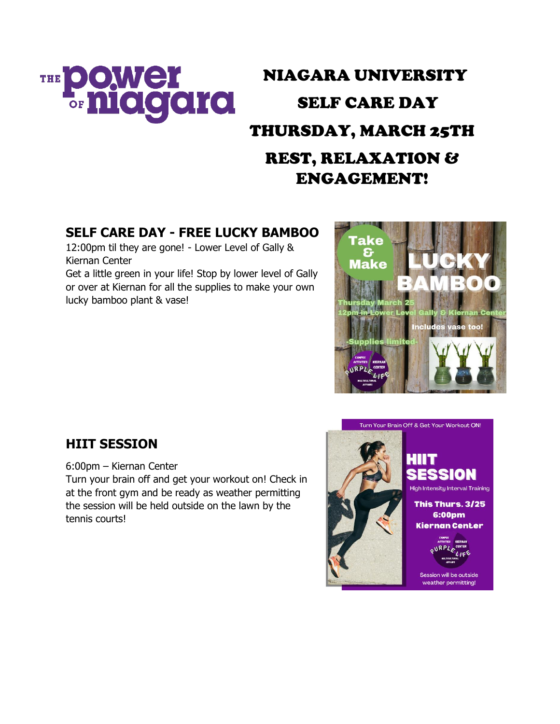

## NIAGARA UNIVERSITY SELF CARE DAY THURSDAY, MARCH 25TH REST, RELAXATION & ENGAGEMENT!

## **SELF CARE DAY - FREE LUCKY BAMBOO**

12:00pm til they are gone! - Lower Level of Gally & Kiernan Center

Get a little green in your life! Stop by lower level of Gally or over at Kiernan for all the supplies to make your own lucky bamboo plant & vase!



## **HIIT SESSION**

6:00pm – Kiernan Center

Turn your brain off and get your workout on! Check in at the front gym and be ready as weather permitting the session will be held outside on the lawn by the tennis courts!